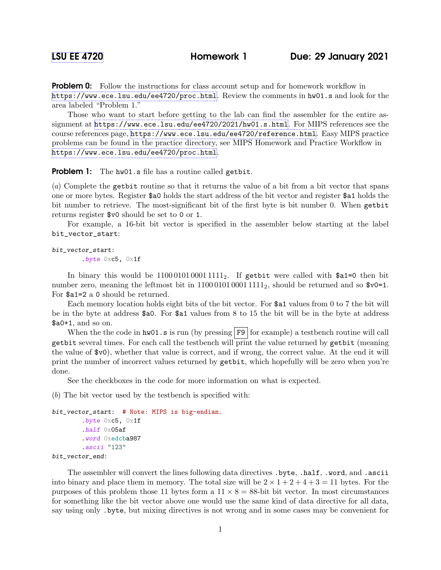**Problem 0:** Follow the instructions for class account setup and for homework workflow in <https://www.ece.lsu.edu/ee4720/proc.html>. Review the comments in hw01.s and look for the area labeled "Problem 1."

Those who want to start before getting to the lab can find the assembler for the entire assignment at <https://www.ece.lsu.edu/ee4720/2021/hw01.s.html>. For MIPS references see the course references page, <https://www.ece.lsu.edu/ee4720/reference.html>. Easy MIPS practice problems can be found in the practice directory, see MIPS Homework and Practice Workflow in <https://www.ece.lsu.edu/ee4720/proc.html>.

## Problem 1: The hw01.s file has a routine called getbit.

(a) Complete the getbit routine so that it returns the value of a bit from a bit vector that spans one or more bytes. Register \$a0 holds the start address of the bit vector and register \$a1 holds the bit number to retrieve. The most-significant bit of the first byte is bit number 0. When getbit returns register \$v0 should be set to 0 or 1.

For example, a 16-bit bit vector is specified in the assembler below starting at the label bit\_vector\_start:

bit\_vector\_start: .byte 0xc5, 0x1f

In binary this would be  $1100010100011111_2$ . If getbit were called with  $\text{ $a1=0 $}$  then bit number zero, meaning the leftmost bit in  $1100010100011111_2$ , should be returned and so  $v0=1$ . For \$a1=2 a 0 should be returned.

Each memory location holds eight bits of the bit vector. For  $a1$  values from 0 to 7 the bit will be in the byte at address \$a0. For \$a1 values from 8 to 15 the bit will be in the byte at address \$a0+1, and so on.

When the the code in  $hw01.s$  is run (by pressing F9 for example) a testbench routine will call getbit several times. For each call the testbench will print the value returned by getbit (meaning the value of \$v0), whether that value is correct, and if wrong, the correct value. At the end it will print the number of incorrect values returned by getbit, which hopefully will be zero when you're done.

See the checkboxes in the code for more information on what is expected.

(b) The bit vector used by the testbench is specified with:

```
bit_vector_start: # Note: MIPS is big-endian.
        .byte 0xc5, 0x1f
        .half 0x05af
        .word 0xedcba987
        .ascii "123"
bit_vector_end:
```
The assembler will convert the lines following data directives .byte, .half, .word, and .ascii into binary and place them in memory. The total size will be  $2 \times 1 + 2 + 4 + 3 = 11$  bytes. For the purposes of this problem those 11 bytes form a  $11 \times 8 = 88$ -bit bit vector. In most circumstances for something like the bit vector above one would use the same kind of data directive for all data, say using only .byte, but mixing directives is not wrong and in some cases may be convenient for